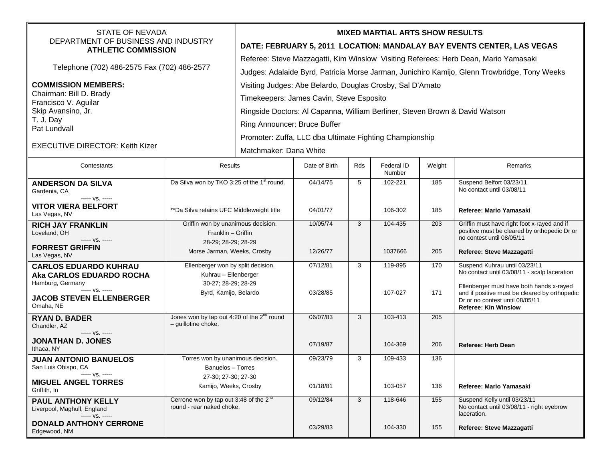| STATE OF NEVADA                                                             |                                                                               | <b>MIXED MARTIAL ARTS SHOW RESULTS</b>                                                       |               |     |                      |        |                                                                                             |  |  |
|-----------------------------------------------------------------------------|-------------------------------------------------------------------------------|----------------------------------------------------------------------------------------------|---------------|-----|----------------------|--------|---------------------------------------------------------------------------------------------|--|--|
| DEPARTMENT OF BUSINESS AND INDUSTRY<br><b>ATHLETIC COMMISSION</b>           |                                                                               | DATE: FEBRUARY 5, 2011 LOCATION: MANDALAY BAY EVENTS CENTER, LAS VEGAS                       |               |     |                      |        |                                                                                             |  |  |
|                                                                             |                                                                               | Referee: Steve Mazzagatti, Kim Winslow Visiting Referees: Herb Dean, Mario Yamasaki          |               |     |                      |        |                                                                                             |  |  |
| Telephone (702) 486-2575 Fax (702) 486-2577                                 |                                                                               | Judges: Adalaide Byrd, Patricia Morse Jarman, Junichiro Kamijo, Glenn Trowbridge, Tony Weeks |               |     |                      |        |                                                                                             |  |  |
| <b>COMMISSION MEMBERS:</b>                                                  |                                                                               | Visiting Judges: Abe Belardo, Douglas Crosby, Sal D'Amato                                    |               |     |                      |        |                                                                                             |  |  |
| Chairman: Bill D. Brady                                                     |                                                                               | Timekeepers: James Cavin, Steve Esposito                                                     |               |     |                      |        |                                                                                             |  |  |
| Francisco V. Aguilar<br>Skip Avansino, Jr.                                  |                                                                               | Ringside Doctors: Al Capanna, William Berliner, Steven Brown & David Watson                  |               |     |                      |        |                                                                                             |  |  |
| T. J. Day                                                                   |                                                                               | Ring Announcer: Bruce Buffer                                                                 |               |     |                      |        |                                                                                             |  |  |
| Pat Lundvall                                                                |                                                                               |                                                                                              |               |     |                      |        |                                                                                             |  |  |
| <b>EXECUTIVE DIRECTOR: Keith Kizer</b>                                      |                                                                               | Promoter: Zuffa, LLC dba Ultimate Fighting Championship                                      |               |     |                      |        |                                                                                             |  |  |
|                                                                             |                                                                               | Matchmaker: Dana White                                                                       |               |     |                      |        |                                                                                             |  |  |
| Contestants                                                                 | <b>Results</b>                                                                |                                                                                              | Date of Birth | Rds | Federal ID<br>Number | Weight | Remarks                                                                                     |  |  |
| <b>ANDERSON DA SILVA</b><br>Gardenia, CA<br>$--- vs. ---$                   | Da Silva won by TKO 3:25 of the 1 <sup>st</sup> round.                        |                                                                                              | 04/14/75      | 5   | 102-221              | 185    | Suspend Belfort 03/23/11<br>No contact until 03/08/11                                       |  |  |
| <b>VITOR VIERA BELFORT</b><br>Las Vegas, NV                                 | ** Da Silva retains UFC Middleweight title                                    |                                                                                              | 04/01/77      |     | 106-302              | 185    | Referee: Mario Yamasaki                                                                     |  |  |
| <b>RICH JAY FRANKLIN</b>                                                    | Griffin won by unanimous decision.<br>Franklin - Griffin                      |                                                                                              | 10/05/74      | 3   | 104-435              | 203    | Griffin must have right foot x-rayed and if<br>positive must be cleared by orthopedic Dr or |  |  |
| Loveland, OH<br>----- VS. -----                                             | 28-29; 28-29; 28-29                                                           |                                                                                              |               |     |                      |        | no contest until 08/05/11                                                                   |  |  |
| <b>FORREST GRIFFIN</b><br>Las Vegas, NV                                     | Morse Jarman, Weeks, Crosby                                                   |                                                                                              | 12/26/77      |     | 1037666              | 205    | Referee: Steve Mazzagatti                                                                   |  |  |
| <b>CARLOS EDUARDO KUHRAU</b>                                                | Ellenberger won by split decision.                                            |                                                                                              | 07/12/81      | 3   | 119-895              | 170    | Suspend Kuhrau until 03/23/11<br>No contact until 03/08/11 - scalp laceration               |  |  |
| Aka CARLOS EDUARDO ROCHA<br>Hamburg, Germany                                | Kuhrau - Ellenberger<br>30-27; 28-29; 28-29                                   |                                                                                              |               |     |                      |        |                                                                                             |  |  |
| ----- VS. -----                                                             | Byrd, Kamijo, Belardo                                                         |                                                                                              | 03/28/85      |     | 107-027              | 171    | Ellenberger must have both hands x-rayed<br>and if positive must be cleared by orthopedic   |  |  |
| <b>JACOB STEVEN ELLENBERGER</b><br>Omaha, NE                                |                                                                               |                                                                                              |               |     |                      |        | Dr or no contest until 08/05/11<br><b>Referee: Kin Winslow</b>                              |  |  |
| <b>RYAN D. BADER</b><br>Chandler, AZ<br>$--- VS. ---$                       | Jones won by tap out 4:20 of the 2 <sup>nd</sup> round<br>- guillotine choke. |                                                                                              | 06/07/83      | 3   | 103-413              | 205    |                                                                                             |  |  |
| <b>JONATHAN D. JONES</b><br>Ithaca, NY                                      |                                                                               |                                                                                              | 07/19/87      |     | 104-369              | 206    | <b>Referee: Herb Dean</b>                                                                   |  |  |
| <b>JUAN ANTONIO BANUELOS</b>                                                | Torres won by unanimous decision.                                             |                                                                                              | 09/23/79      | 3   | 109-433              | 136    |                                                                                             |  |  |
| San Luis Obispo, CA<br>----- VS. -----                                      | Banuelos - Torres<br>27-30; 27-30; 27-30                                      |                                                                                              |               |     |                      |        |                                                                                             |  |  |
| <b>MIGUEL ANGEL TORRES</b><br>Griffith, In                                  | Kamijo, Weeks, Crosby                                                         |                                                                                              | 01/18/81      |     | 103-057              | 136    | Referee: Mario Yamasaki                                                                     |  |  |
| <b>PAUL ANTHONY KELLY</b><br>Liverpool, Maghull, England<br>----- VS. ----- | Cerrone won by tap out 3:48 of the $2^{nd}$<br>round - rear naked choke.      |                                                                                              | 09/12/84      | 3   | 118-646              | 155    | Suspend Kelly until 03/23/11<br>No contact until 03/08/11 - right eyebrow<br>laceration.    |  |  |
| <b>DONALD ANTHONY CERRONE</b><br>Edgewood, NM                               |                                                                               |                                                                                              | 03/29/83      |     | 104-330              | 155    | Referee: Steve Mazzagatti                                                                   |  |  |